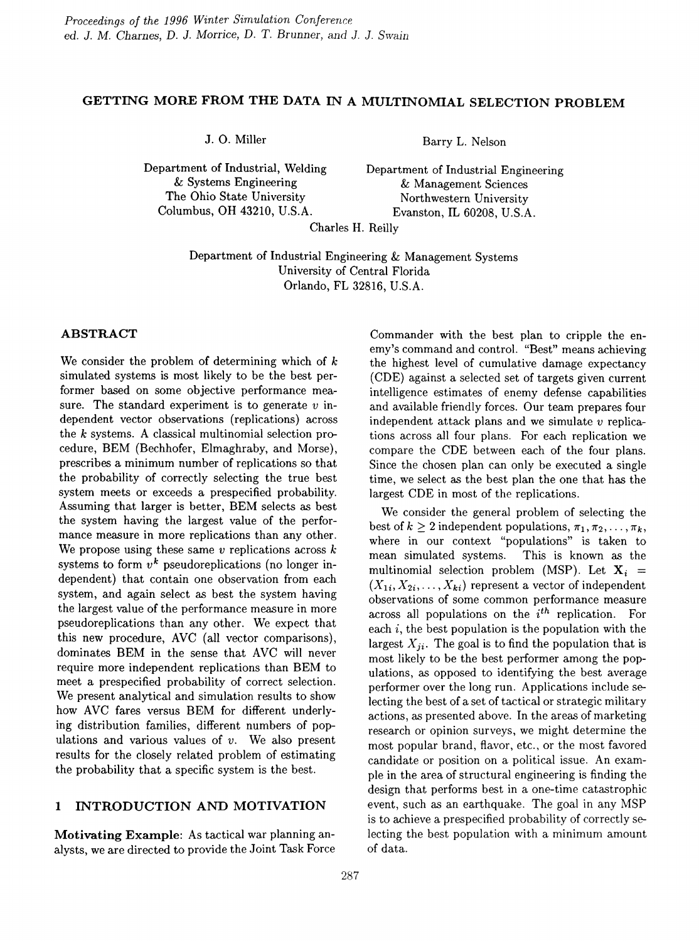# GETTING MORE FROM THE DATA IN A MULTINOMIAL SELECTION PROBLEM

Department of Industrial, Welding Department of Industrial Engineering The Ohio State University<br>
Columbus, OH 43210, U.S.A.<br>
Evanston, IL 60208, U.S.A

J. O. Miller Barry L. Nelson

& Systems Engineering  $\&$  Management Sciences<br>The Ohio State University Northwestern University Evanston, IL 60208, U.S.A.

Charles H. Reilly

Department of Industrial Engineering & Management Systems University of Central Florida Orlando, FL 32816, U.S.A.

# ABSTRACT

We consider the problem of determining which of *k* simulated systems is most likely to be the best performer based on some objective performance measure. The standard experiment is to generate *v* independent vector observations (replications) across the *k* systems. A classical multinomial selection procedure, BEM (Bechhofer, Elmaghraby, and Morse), prescribes a minimum number of replications so that the probability of correctly selecting the true best system meets or exceeds a prespecified probability. Assuming that larger is better, BEM selects *as* best the system having the largest value of the performance measure in more replications than any other. We propose using these same *v* replications across k systems to form  $v^k$  pseudoreplications (no longer independent) that contain one observation from each system, and again select as best the system having the largest value of the performance measure in more pseudoreplications than any other. We expect that this new procedure, AVC (all vector comparisons), dominates BEM in the sense that AVC will never require more independent replications than BEM to meet a prespecified probability of correct selection. We present analytical and simulation results to show how AVC fares versus BEM for different underlying distribution families, different numbers of populations and various values of *v.* We also present results for the closely related problem of estimating the probability that a specific system is the best.

# 1 INTRODUCTION AND MOTIVATION

Motivating Example: As tactical war planning analysts, we are directed to provide the Joint Task Force

Commander with the best plan to cripple the enemy's command and control. "Best" means achieving the highest level of cumulative damage expectancy (CDE) against a selected set of targets given current intelligence estimates of enemy defense capabilities and available friendly forces. Our team prepares four independent attack plans and we simulate *v* replications across all four plans. For each replication we compare the CDE between each of the four plans. Since the chosen plan can only be executed a single time, we select *as* the best plan the one that has the largest CDE in most of the replications.

We consider the general problem of selecting the best of  $k \geq 2$  independent populations,  $\pi_1, \pi_2, \ldots, \pi_k$ , where in our context "populations" is taken to mean simulated systems. This is known as the multinomial selection problem (MSP). Let  $X_i$  =  $(X_{1i}, X_{2i}, \ldots, X_{ki})$  represent a vector of independent observations of some common performance measure across all populations on the  $i<sup>th</sup>$  replication. For each  $i$ , the best population is the population with the largest  $X_{ii}$ . The goal is to find the population that is most likely to be the best performer among the populations, as opposed to identifying the best average performer over the long run. Applications include selecting the best of a set of tactical or strategic military actions, as presented above. In the areas of marketing research or opinion surveys, we might determine the most popular brand, flavor, etc., or the most favored candidate or position on a political issue. An example in the area of structural engineering is finding the design that performs best in a one-time catastrophic event, such as an earthquake. The goal in any MSP is to achieve a prespecified probability of correctly selecting the best population with a minimum amount of data.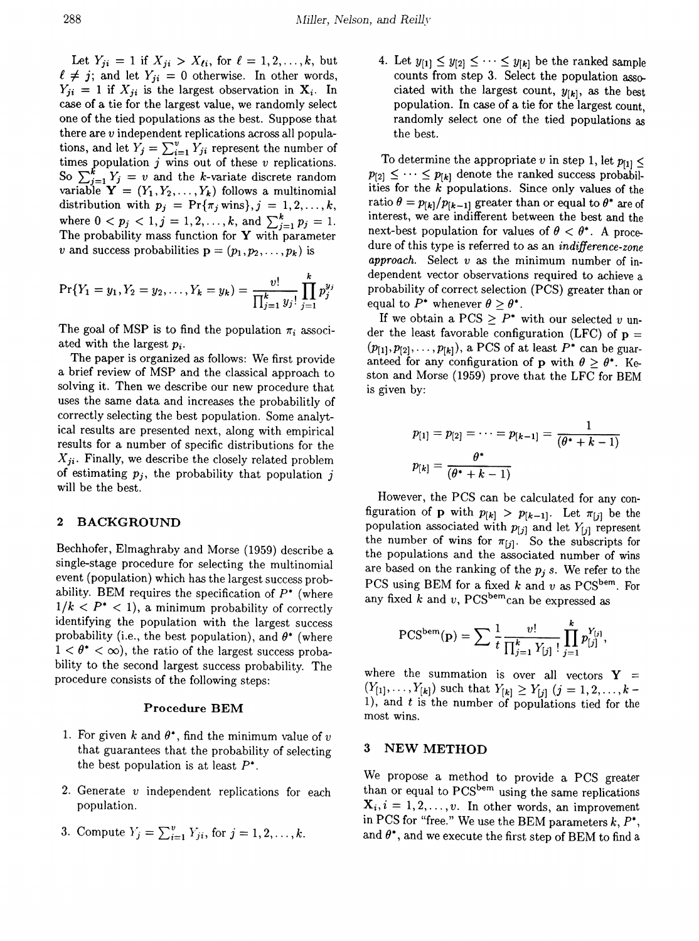Let  $Y_{ji} = 1$  if  $X_{ji} > X_{\ell i}$ , for  $\ell = 1, 2, ..., k$ , but  $\ell \neq j$ ; and let  $Y_{ji} = 0$  otherwise. In other words,  $Y_{ji} = 1$  if  $X_{ji}$  is the largest observation in  $X_i$ . In case of a tie for the largest value, we randomly select one of the tied populations *as* the best. Suppose that there are *v* independent replications across all populations, and let  $Y_j = \sum_{i=1}^{\infty} Y_{ji}$  represent the number of times population  $j$  wins out of these  $v$  replications. So  $\sum_{j=1}^{k} Y_j = v$  and the k-variate discrete random variable  $\mathbf{Y} = (Y_1, Y_2, \dots, Y_k)$  follows a multinomial distribution with  $p_j = \Pr{\{\pi_j \text{ wins}\}, j = 1, 2, ..., k, \}$ where  $0 < p_j < 1, j = 1, 2, ..., k$ , and  $\sum_{j=1}^{k} p_j = 1$ . The probability mass function for  $\mathbf Y$  with parameter *v* and success probabilities  $\mathbf{p} = (p_1, p_2, \dots, p_k)$  is

$$
\Pr\{Y_1=y_1, Y_2=y_2, \ldots, Y_k=y_k\}=\frac{v!}{\prod_{j=1}^k y_j!}\prod_{j=1}^k p_j^{y_j}
$$

The goal of MSP is to find the population  $\pi_i$  associated with the largest *Pi.*

The paper is organized as follows: We first provide a brief review of MSP and the classical approach to solving it. Then we describe our new procedure that uses the same data and increases the probabilitly of correctly selecting the best population. Some analytical results are presented next, along with empirical results for a number of specific distributions for the  $X_{ji}$ . Finally, we describe the closely related problem of estimating  $p_j$ , the probability that population j will be the best.

### 2 BACKGROUND

Bechhofer, Elmaghraby and Morse (1959) describe a single-stage procedure for selecting the multinomial event (population) which has the largest success probability. BEM requires the specification of  $P^*$  (where  $1/k < P^* < 1$ , a minimum probability of correctly identifying the population with the largest success probability (i.e., the best population), and  $\theta^*$  (where  $1 < \theta^* < \infty$ , the ratio of the largest success probability to the second largest success probability. The procedure consists of the following steps:

#### Procedure BEM

- 1. For given k and  $\theta^*$ , find the minimum value of  $\nu$ that guarantees that the probability of selecting the best population is at least  $P^*$ .
- 2. Generate *v* independent replications for each population.
- 3. Compute  $Y_j = \sum_{i=1}^v Y_{ji}$ , for  $j = 1, 2, ..., k$ .

4. Let  $y_{[1]} \leq y_{[2]} \leq \cdots \leq y_{[k]}$  be the ranked sample counts from step 3. Select the population associated with the largest count,  $y_{[k]}$ , as the best population. In case of a tie for the largest count, randomly select one of the tied populations as the best.

To determine the appropriate *v* in step 1, let  $p_{[1]} \leq$  $p_{[2]} \leq \cdots \leq p_{[k]}$  denote the ranked success probabilities for the *k* populations. Since only values of the ratio  $\theta = p_{[k]}/p_{[k-1]}$  greater than or equal to  $\theta^*$  are of interest, we are indifferent between the best and the next-best population for values of  $\theta < \theta^*$ . A procedure of this type is referred to as an *indifference-zone approach.* Select *v as* the minimum number of independent vector observations required to achieve a probability of correct selection (PCS) greater than or equal to  $P^*$  whenever  $\theta > \theta^*$ .

If we obtain a PCS  $\geq P^*$  with our selected v under the least favorable configuration (LFC) of  $p =$  $(p_{[1]}, p_{[2]}, \ldots, p_{[k]})$ , a PCS of at least  $P^*$  can be guaranteed for any configuration of p with  $\theta > \theta^*$ . Keston and Morse (1959) prove that the LFC for BEM is given by:

$$
p_{[1]} = p_{[2]} = \cdots = p_{[k-1]} = \frac{1}{(\theta^* + k - 1)}
$$

$$
p_{[k]} = \frac{\theta^*}{(\theta^* + k - 1)}
$$

However, the PCS can be calculated for any configuration of **p** with  $p_{[k]} > p_{[k-1]}$ . Let  $\pi_{[j]}$  be the population associated with  $p_{[j]}$  and let  $Y_{[j]}$  represent the number of wins for  $\pi_{[j]}$ . So the subscripts for the populations and the associated number of wins are based on the ranking of the  $p_i$  *s*. We refer to the PCS using BEM for a fixed *k* and *v* as PCS<sup>bem</sup>. For any fixed  $\overline{k}$  and  $v$ , PCS<sup>bem</sup>can be expressed as

$$
PCSbem(p) = \sum \frac{1}{t} \frac{v!}{\prod_{j=1}^{k} Y_{[j]}} \prod_{j=1}^{k} p_{[j]}^{Y_{[j]}},
$$

where the summation is over all vectors  $Y =$  $(Y_{[1]}, \ldots, Y_{[k]})$  such that  $Y_{[k]} \ge Y_{[j]}$  ( $j = 1, 2, \ldots, k-1$ ), and t is the number of populations tied for the most wins.

# 3 NEWMETHOD

We propose a method to provide a PCS greater than or equal to PCS<sup>bem</sup> using the same replications  $X_i, i = 1, 2, \ldots, v$ . In other words, an improvement in PCS for "free." We use the BEM parameters  $k, P^*$ , and  $\theta^*$ , and we execute the first step of BEM to find a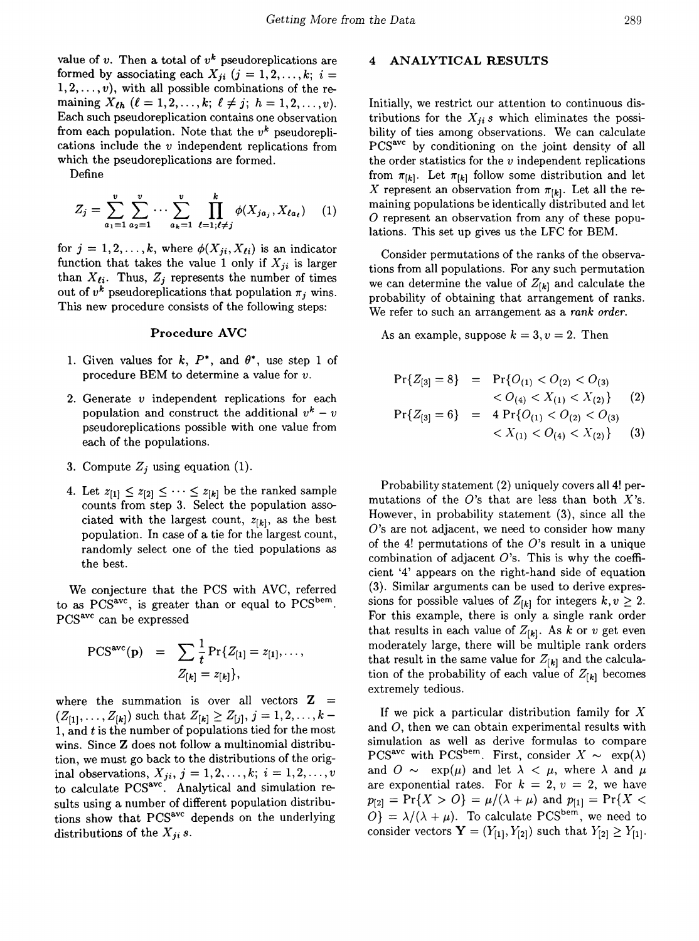value of  $v$ . Then a total of  $v^k$  pseudoreplications are formed by associating each  $X_{ji}$  ( $j = 1, 2, ..., k; i =$  $1, 2, \ldots, v$ , with all possible combinations of the remaining  $X_{\ell h}$  ( $\ell = 1, 2, ..., k; \ell \neq j; h = 1, 2, ..., v$ ). Each such pseudoreplication contains one observation from each population. Note that the  $v^k$  pseudoreplications include the *v* independent replications from which the pseudoreplications are formed.

Define

$$
Z_j = \sum_{a_1=1}^v \sum_{a_2=1}^v \cdots \sum_{a_k=1}^v \prod_{\ell=1; \ell \neq j}^k \phi(X_{ja_j}, X_{\ell a_\ell}) \quad (1)
$$

for  $j = 1, 2, ..., k$ , where  $\phi(X_{ji}, X_{\ell i})$  is an indicator function that takes the value 1 only if  $X_{ii}$  is larger than  $X_{\ell i}$ . Thus,  $Z_j$  represents the number of times out of  $v^k$  pseudoreplications that population  $\pi_i$  wins. This new procedure consists of the following steps:

### Procedure AVC

- 1. Given values for k,  $P^*$ , and  $\theta^*$ , use step 1 of procedure BEM to determine a value for *v.*
- 2. Generate  $v$  independent replications for each population and construct the additional  $v^k - v$ pseudoreplications possible with one value from each of the populations.
- 3. Compute  $Z_i$  using equation (1).
- 4. Let  $z_{[1]} \leq z_{[2]} \leq \cdots \leq z_{[k]}$  be the ranked sample counts from step 3. Select the population associated with the largest count,  $z_{[k]}$ , as the best population. In case of a tie for the largest count, randomly select one of the tied populations as the best.

We conjecture that the PCS with AVC, referred to as  $PCS<sup>ave</sup>$ , is greater than or equal to  $PCS<sup>bem</sup>$ . PCS<sup>avc</sup> can be expressed

$$
\text{PCS}^{\text{avc}}(\mathbf{p}) = \sum_{Z_{[k]}} \frac{1}{t} \Pr\{Z_{[1]} = z_{[1]}, \dots, Z_{[k]}\},
$$

where the summation is over all vectors  $Z =$  $(Z_{[1]}, \ldots, Z_{[k]})$  such that  $Z_{[k]} \ge Z_{[j]}, j = 1, 2, \ldots, k-1$ 1, and  $t$  is the number of populations tied for the most wins. Since Z does not follow a multinomial distribution, we must go back to the distributions of the original observations,  $X_{ji}$ ,  $j = 1, 2, \ldots, k; i = 1, 2, \ldots, v$ to calculate PCS<sup>avc</sup>. Analytical and simulation results using a number of different population distributions show that PCS<sup>avc</sup> depends on the underlying distributions of the  $X_{ji}$  *s*.

#### 4 ANALYTICAL RESULTS

Initially, we restrict our attention to continuous distributions for the  $X_{ji}$  *s* which eliminates the possibility of ties among observations. We can calculate PCSavc by conditioning on the joint density of all the order statistics for the  $v$  independent replications from  $\pi_{[k]}$ . Let  $\pi_{[k]}$  follow some distribution and let X represent an observation from  $\pi_{[k]}$ . Let all the remaining populations be identically distributed and let  $O$  represent an observation from any of these populations. This set up gives us the LFC for BEM.

Consider permutations of the ranks of the observations from all populations. For any such permutation we can determine the value of  $Z_{[k]}$  and calculate the probability of obtaining that arrangement of ranks. We refer to such an arrangement as a *rank order.*

As an example, suppose  $k = 3, v = 2$ . Then

$$
Pr{Z_{[3]} = 8} = Pr{O_{(1)} < O_{(2)} < O_{(3)} \n< O_{(4)} < X_{(1)} < X_{(2)} }
$$
\n
$$
Pr{Z_{[3]} = 6} = 4 Pr{O_{(1)} < O_{(2)} < O_{(3)} \n< X_{(1)} < O_{(4)} < X_{(2)} }
$$
\n(3)

Probability statement (2) uniquely covers all 4! permutations of the O's that are less than both *X's.* However, in probability statement (3), since all the O's are not adjacent, we need to consider how many of the 4! permutations of the  $O$ 's result in a unique combination of adjacent  $O$ 's. This is why the coefficient '4' appears on the right-hand side of equation (3). Similar arguments can be used to derive expressions for possible values of  $Z_{[k]}$  for integers  $k, v \geq 2$ . For this example, there is only a single rank order that results in each value of  $Z_{[k]}$ . As k or *v* get even moderately large, there will be multiple rank orders that result in the same value for  $Z_{[k]}$  and the calculation of the probability of each value of  $Z_{[k]}$  becomes extremely tedious.

If we pick a particular distribution family for *X* and 0, then we can obtain experimental results with simulation as well as derive formulas to compare PCS<sup>avc</sup> with PCS<sup>bem</sup>. First, consider  $X \sim \exp(\lambda)$ and  $O \sim \exp(\mu)$  and let  $\lambda < \mu$ , where  $\lambda$  and  $\mu$ are exponential rates. For  $k = 2, v = 2$ , we have  $p_{[2]} = \Pr\{X > 0\} = \mu/(\lambda + \mu)$  and  $p_{[1]} = \Pr\{X < \mu\}$  $\{O\} = \lambda/(\lambda + \mu)$ . To calculate PCS<sup>bem</sup>, we need to consider vectors  $\mathbf{Y} = (Y_{[1]}, Y_{[2]})$  such that  $Y_{[2]} \geq Y_{[1]}$ .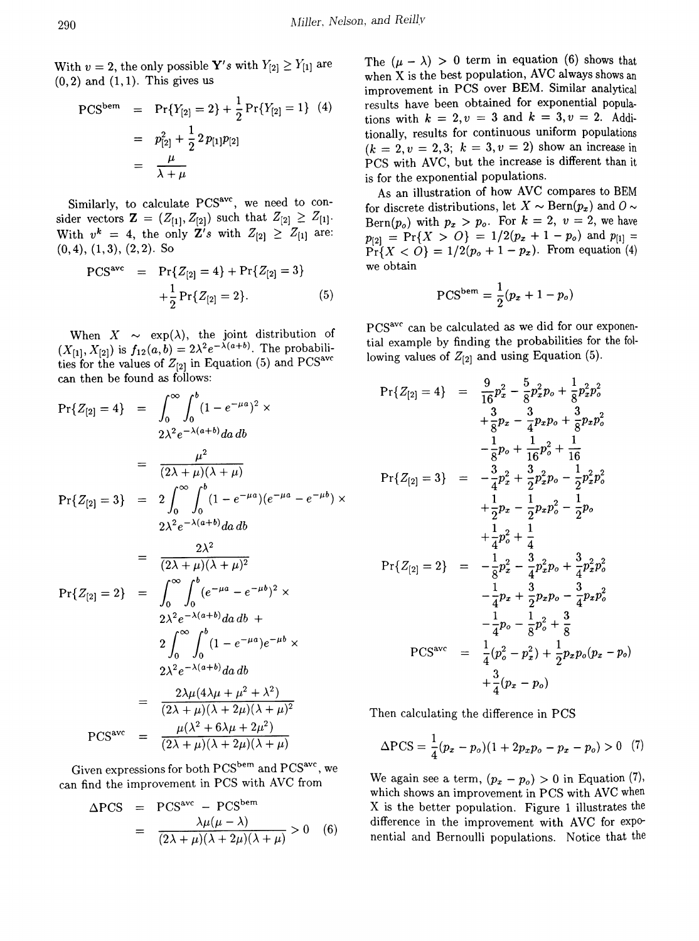With  $v = 2$ , the only possible **Y's** with  $Y_{[2]} \geq Y_{[1]}$  are  $(0,2)$  and  $(1,1)$ . This gives us

$$
\begin{array}{rcl}\n\text{PCS}^{\text{bem}} & = & \Pr\{Y_{[2]} = 2\} + \frac{1}{2} \Pr\{Y_{[2]} = 1\} \tag{4} \\
& = & p_{[2]}^2 + \frac{1}{2} \cdot 2 p_{[1]} p_{[2]} \\
& = & \frac{\mu}{\lambda + \mu}\n\end{array}
$$

Similarly, to calculate PCS<sup>avc</sup>, we need to consider vectors  $\mathbf{Z} = (Z_{[1]}, Z_{[2]})$  such that  $Z_{[2]} \geq Z_{[1]}$ . With  $v^k = 4$ , the only Z's with  $Z_{[2]} \geq Z_{[1]}$  are: (0,4), (1,3), (2,2). So

$$
PCSave = Pr{Z[2] = 4} + Pr{Z[2] = 3} + \frac{1}{2} Pr{Z[2] = 2}.
$$
 (5)

When  $X \sim \exp(\lambda)$ , the joint distribution of  $(X_{[1]}, X_{[2]})$  is  $f_{12}(a, b) = 2\lambda^2 e^{-\lambda(a+b)}$ . The probabilities for the values of  $Z_{[2]}$  in Equation (5) and PCS<sup>avc</sup> can then be found as follows:

$$
Pr{Z_{[2]} = 4} = \int_{0}^{\infty} \int_{0}^{b} (1 - e^{-\mu a})^{2} \times
$$
  
\n
$$
2\lambda^{2} e^{-\lambda(a+b)} da \, db
$$
  
\n
$$
= \frac{\mu^{2}}{(2\lambda + \mu)(\lambda + \mu)}
$$
  
\n
$$
Pr{Z_{[2]} = 3} = 2 \int_{0}^{\infty} \int_{0}^{b} (1 - e^{-\mu a})(e^{-\mu a} - e^{-\mu b}) \times
$$
  
\n
$$
2\lambda^{2} e^{-\lambda(a+b)} da \, db
$$
  
\n
$$
= \frac{2\lambda^{2}}{(2\lambda + \mu)(\lambda + \mu)^{2}}
$$
  
\n
$$
Pr{Z_{[2]} = 2} = \int_{0}^{\infty} \int_{0}^{b} (e^{-\mu a} - e^{-\mu b})^{2} \times
$$
  
\n
$$
2\lambda^{2} e^{-\lambda(a+b)} da \, db +
$$
  
\n
$$
2 \int_{0}^{\infty} \int_{0}^{b} (1 - e^{-\mu a}) e^{-\mu b} \times
$$
  
\n
$$
2\lambda^{2} e^{-\lambda(a+b)} da \, db
$$
  
\n
$$
= \frac{2\lambda\mu(4\lambda\mu + \mu^{2} + \lambda^{2})}{(2\lambda + \mu)(\lambda + 2\mu)(\lambda + \mu)^{2}}
$$
  
\n
$$
PCS^{ave} = \frac{\mu(\lambda^{2} + 6\lambda\mu + 2\mu^{2})}{(2\lambda + \mu)(\lambda + 2\mu)(\lambda + \mu)}
$$

Given expressions for both PCS<sup>bem</sup> and PCS<sup>avc</sup>, we can find the improvement in PCS with AVC from

$$
\Delta PCS = PCS^{ave} - PCS^{beam}
$$
  
= 
$$
\frac{\lambda \mu(\mu - \lambda)}{(2\lambda + \mu)(\lambda + 2\mu)(\lambda + \mu)} > 0
$$
 (6)

The  $(\mu - \lambda) > 0$  term in equation (6) shows that when X is the best population, AVC always shows an improvement in PCS over BEM. Similar analytical results have been obtained for exponential populations with  $k = 2, v = 3$  and  $k = 3, v = 2$ . Additionally, results for continuous uniform populations  $(k = 2, v = 2, 3; k = 3, v = 2)$  show an increase in PCS with AVC, but the increase is different than it is for the exponential populations.

As an illustration of how AVC compares to BEM for discrete distributions, let  $X \sim \text{Bern}(p_x)$  and  $\theta \sim$ Bern $(p_o)$  with  $p_x > p_o$ . For  $k = 2$ ,  $v = 2$ , we have  $p_{[2]}$  = Pr{X > O} = 1/2( $p_x$  + 1 -  $p_o$ ) and  $p_{[1]}$  =  $Pr{X < 0} = 1/2(p_o + 1 - p_x)$ . From equation (4) we obtain

$$
PCS^{bem} = \frac{1}{2}(p_x + 1 - p_o)
$$

pcsavc can be calculated *as* we did for our exponential example by finding the probabilities for the following values of  $Z_{[2]}$  and using Equation (5).

$$
Pr{Z_{[2]} = 4} = \frac{9}{16}p_x^2 - \frac{5}{8}p_x^2p_o + \frac{1}{8}p_x^2p_o^2
$$
  
\n
$$
+ \frac{3}{8}p_x - \frac{3}{4}p_xp_o + \frac{3}{8}p_xp_o^2
$$
  
\n
$$
- \frac{1}{8}p_o + \frac{1}{16}p_o^2 + \frac{1}{16}
$$
  
\n
$$
Pr{Z_{[2]} = 3} = -\frac{3}{4}p_x^2 + \frac{3}{2}p_x^2p_o - \frac{1}{2}p_x^2p_o^2
$$
  
\n
$$
+ \frac{1}{2}p_x - \frac{1}{2}p_xp_o^2 - \frac{1}{2}p_o
$$
  
\n
$$
+ \frac{1}{4}p_o^2 + \frac{1}{4}
$$
  
\n
$$
Pr{Z_{[2]} = 2} = -\frac{1}{8}p_x^2 - \frac{3}{4}p_x^2p_o + \frac{3}{4}p_x^2p_o^2
$$
  
\n
$$
- \frac{1}{4}p_x + \frac{3}{2}p_xp_o - \frac{3}{4}p_xp_o^2
$$
  
\n
$$
- \frac{1}{4}p_o - \frac{1}{8}p_o^2 + \frac{3}{8}
$$
  
\n
$$
PCSave = \frac{1}{4}(p_o^2 - p_x^2) + \frac{1}{2}p_xp_o(p_x - p_o)
$$
  
\n
$$
+ \frac{3}{4}(p_x - p_o)
$$

Then calculating the difference in PCS

$$
\Delta \text{PCS} = \frac{1}{4}(p_x - p_o)(1 + 2p_x p_o - p_x - p_o) > 0 \quad (7)
$$

We again see a term,  $(p_x - p_o) > 0$  in Equation (7), which shows an improvement in PCS with AVC when X is the better population. Figure 1 illustrates the difference in the improvement with AVC for exponential and Bernoulli populations. Notice that the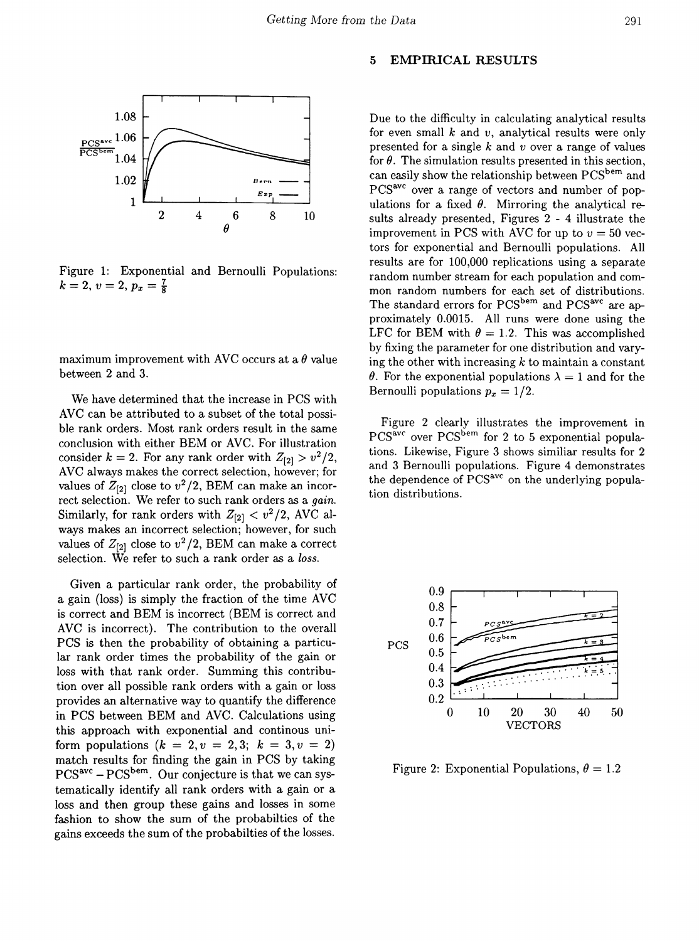

Figure 1: Exponential and Bernoulli Populations:  $k = 2, v = 2, p_x = \frac{7}{8}$ 

maximum improvement with AVC occurs at a  $\theta$  value between 2 and 3.

We have determined that the increase in PCS with AVC can be attributed to a subset of the total possible rank orders. Most rank orders result in the same conclusion with either BEM or AVC. For illustration consider  $k = 2$ . For any rank order with  $Z_{[2]} > v^2/2$ , AVC always makes the correct selection, however; for values of  $Z_{[2]}$  close to  $v^2/2$ , BEM can make an incorrect selection. We refer to such rank orders as a *gain.* Similarly, for rank orders with  $Z_{[2]} < v^2/2$ , AVC always makes an incorrect selection; however, for such values of  $Z_{[2]}$  close to  $v^2/2$ , BEM can make a correct selection. We refer to such a rank order as a *loss.*

Given a particular rank order, the probability of a gain (loss) is simply the fraction of the time AVC is correct and BEM is incorrect (BEM is correct and AVC is incorrect). The contribution to the overall PCS is then the probability of obtaining a particular rank order times the probability of the gain or loss with that rank order. Summing this contribution over all possible rank orders with a gain or loss provides an alternative way to quantify the difference in PCS between BEM and AVC. Calculations using this approach with exponential and continous uniform populations  $(k = 2, v = 2, 3; k = 3, v = 2)$ match results for finding the gain in PCS by taking PCS<sup>avc</sup> - PCS<sup>bem</sup>. Our conjecture is that we can systematically identify all rank orders with a gain or a loss and then group these gains and losses in some fashion to show the sum of the probabilties of the gains exceeds the sum of the probabilties of the losses.

#### 5 EMPIRICAL RESULTS

Due to the difficulty in calculating analytical results for even small *k* and *v,* analytical results were only presented for a single *k* and *v* over a range of values for  $\theta$ . The simulation results presented in this section, can easily show the relationship between PCSbem and PCS<sup>avc</sup> over a range of vectors and number of populations for a fixed  $\theta$ . Mirroring the analytical results already presented, Figures 2 - 4 illustrate the improvement in PCS with AVC for up to  $v = 50$  vectors for exponential and Bernoulli populations. All results are for 100,000 replications using a separate random number stream for each population and common random numbers for each set of distributions. The standard errors for PCS<sup>bem</sup> and PCS<sup>avc</sup> are approximately 0.0015. All runs were done using the LFC for BEM with  $\theta = 1.2$ . This was accomplished by fixing the parameter for one distribution and varying the other with increasing  $k$  to maintain a constant  $\theta$ . For the exponential populations  $\lambda = 1$  and for the Bernoulli populations  $p_x = 1/2$ .

Figure 2 clearly illustrates the improvement in PCS<sup>avc</sup> over PCS<sup>bem</sup> for 2 to 5 exponential populations. Likewise, Figure 3 shows similiar results for 2 and 3 Bernoulli populations. Figure 4 demonstrates the dependence of PCS<sup>avc</sup> on the underlying population distributions.



Figure 2: Exponential Populations,  $\theta = 1.2$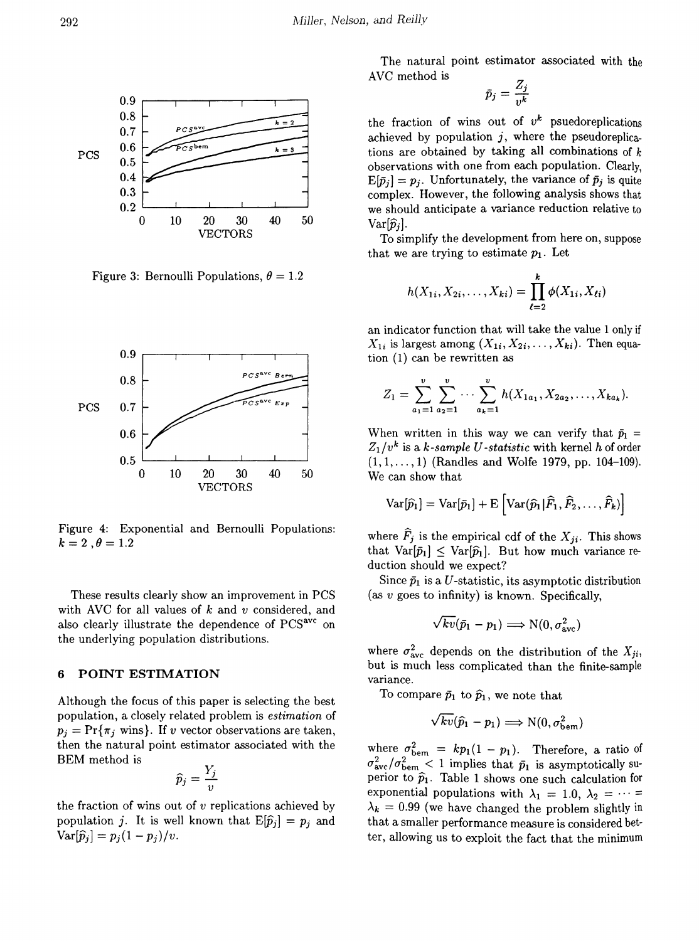

Figure 3: Bernoulli Populations,  $\theta = 1.2$ 



Figure 4: Exponential and Bernoulli Populations:  $k = 2$ ,  $\theta = 1.2$ 

These results clearly show an improvement in PCS with AVC for all values of k and *v* considered, and also clearly illustrate the dependence of PCS<sup>avc</sup> on the underlying population distributions.

# 6 POINT ESTIMATION

Although the focus of this paper is selecting the best population, a closely related problem is *estimation* of  $p_i = \Pr{\pi_i \text{ wins}}$ . If *v* vector observations are taken, then the natural point estimator associated with the BEM method is

$$
\widehat{p}_j = \frac{Y_j}{v}
$$

the fraction of wins out of *v* replications achieved by population j. It is well known that  $E[\hat{p}_i] = p_i$  and  $Var[\widehat{p}_j] = p_j(1-p_j)/v.$ 

The natural point estimator associated with the AVC method is

$$
\bar{p}_j = \frac{Z_j}{v^k}
$$

the fraction of wins out of  $v^k$  psuedoreplications achieved by population  $j$ , where the pseudoreplications are obtained by taking all combinations of  $k$ observations with one from each population. Clearly,  $E[\bar{p}_i] = p_i$ . Unfortunately, the variance of  $\bar{p}_j$  is quite complex. However, the following analysis shows that we should anticipate a variance reduction relative to  $Var[\hat{p}_i]$ .

To simplify the development from here on, suppose that we are trying to estimate  $p_1$ . Let

$$
h(X_{1i}, X_{2i}, \ldots, X_{ki}) = \prod_{\ell=2}^k \phi(X_{1i}, X_{\ell i})
$$

an indicator function that will take the value 1 only if  $X_{1i}$  is largest among  $(X_{1i}, X_{2i}, \ldots, X_{ki})$ . Then equation (1) can be rewritten as

$$
Z_1=\sum_{a_1=1}^v\sum_{a_2=1}^v\cdots\sum_{a_k=1}^vh(X_{1a_1},X_{2a_2},\ldots,X_{ka_k}).
$$

When written in this way we can verify that  $\bar{p}_1$  =  $Z_1/v^k$  is a *k-sample* U-statistic with kernel *h* of order  $(1, 1, \ldots, 1)$  (Randles and Wolfe 1979, pp. 104-109). We can show that

$$
\text{Var}[\widehat{p}_1] = \text{Var}[\bar{p}_1] + \text{E}\left[\text{Var}(\widehat{p}_1|\widehat{F}_1,\widehat{F}_2,\ldots,\widehat{F}_k)\right]
$$

where  $\hat{F}_j$  is the empirical cdf of the  $X_{ji}$ . This shows that  $Var[\bar{p}_1] \leq Var[\hat{p}_1]$ . But how much variance reduction should we expect?

Since  $\bar{p}_1$  is a U-statistic, its asymptotic distribution (as  $v$  goes to infinity) is known. Specifically,

$$
\sqrt{kv}(\bar p_1-p_1)\Longrightarrow \text{N}(0,\sigma^2_{\rm ave})
$$

where  $\sigma_{\text{avc}}^2$  depends on the distribution of the  $X_{ji}$ , but is much less complicated than the finite-sample variance.

To compare  $\bar{p}_1$  to  $\hat{p}_1$ , we note that

$$
\sqrt{kv}(\widehat{p}_1-p_1)\Longrightarrow \text{N}(0,\sigma_{\text{bem}}^2)
$$

where  $\sigma_{\text{bem}}^2 = kp_1(1 - p_1)$ . Therefore, a ratio of  $\sigma_{\text{ave}}^2/\sigma_{\text{bem}}^2 < 1$  implies that  $\bar{p}_1$  is asymptotically superior to  $\hat{p}_1$ . Table 1 shows one such calculation for exponential populations with  $\lambda_1 = 1.0, \lambda_2 = \cdots =$  $\lambda_k = 0.99$  (we have changed the problem slightly in that a smaller performance measure is considered better, allowing us to exploit the fact that the minimum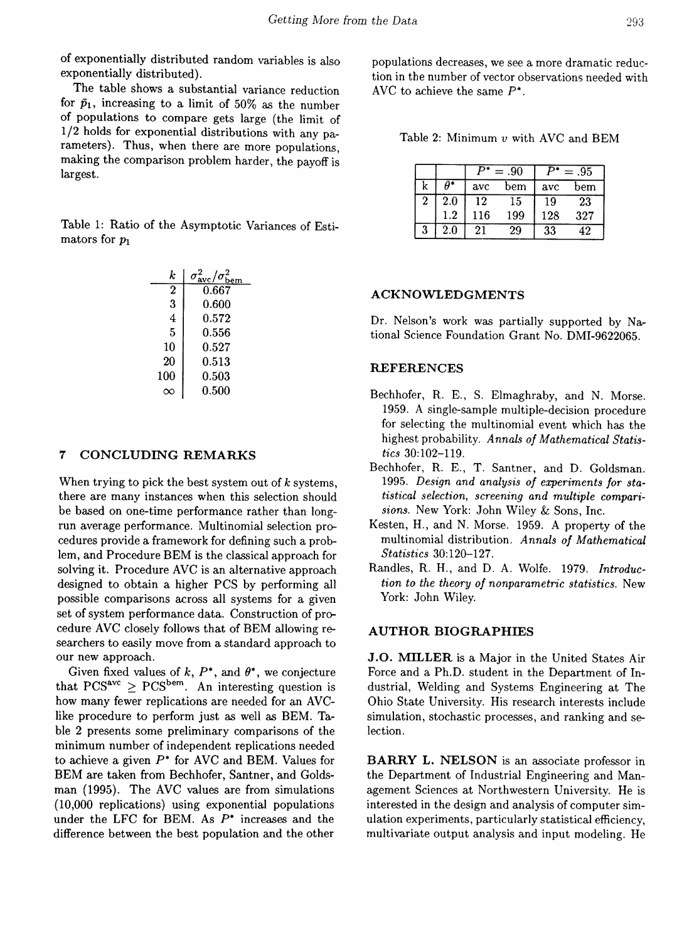of exponentially distributed random variables is also exponentially distributed).

The table shows a substantial variance reduction for  $\bar{p}_1$ , increasing to a limit of 50% as the number of populations to compare gets large (the limit of 1/2 holds for exponential distributions with any parameters). Thus, when there are more populations, making the comparison problem harder, the payoff is largest.

Table 1: Ratio of the Asymptotic Variances of Estimators for  $p_1$ 

| k.             | $\sigma^2_{\rm ave}/\sigma^2_{\rm bem}$ |
|----------------|-----------------------------------------|
| 2              | 0.667                                   |
| 3              | 0.600                                   |
| $\overline{4}$ | 0.572                                   |
| 5              | 0.556                                   |
| 10             | 0.527                                   |
| 20             | 0.513                                   |
| 100            | 0.503                                   |
|                | 0.500                                   |

### 7 CONCLUDING REMARKS

When trying to pick the best system out of  $k$  systems, there are many instances when this selection should be based on one-time performance rather than longrun average performance. Multinomial selection procedures provide a framework for defining such a problem, and Procedure BEM is the classical approach for solving it. Procedure AVC is an alternative approach designed to obtain a higher PCS by performing all possible comparisons across all systems for a given set of system performance data. Construction of procedure AVC closely follows that of BEM allowing researchers to easily move from a standard approach to our new approach.

Given fixed values of  $k$ ,  $P^*$ , and  $\theta^*$ , we conjecture that  $PCS<sup>ave</sup> \geq PCS<sup>bem</sup>$ . An interesting question is how many fewer replications are needed for an AVClike procedure to perform just as well as BEM. Table 2 presents some preliminary comparisons of the minimum number of independent replications needed to achieve a given  $P^*$  for AVC and BEM. Values for BEM are taken from Bechhofer, Santner, and Goldsman (1995). The AVC values are from simulations (10,000 replications) using exponential populations under the LFC for BEM. As  $P^*$  increases and the difference between the best population and the other

populations decreases, we see a more dramatic reduction in the number of vector observations needed with AVC to achieve the same  $P^*$ .

Table 2: Minimum *v* with AVC and BEM

|              |         | .90<br>$=$ |     | $=.95$ |     |
|--------------|---------|------------|-----|--------|-----|
| k            |         | avc        | bem | avc    | bem |
| $\mathbf{2}$ | $2.0\,$ | 12         | 15  | 19     | 23  |
|              | 1.2     | 116        | 199 | 128    | 327 |
| 3            | $2.0\,$ | 21         | 29  | 33     | 12  |

#### ACKNOWLEDGMENTS

Dr. Nelson's work was partially supported by National Science Foundation Grant No. DMI-9622065.

## **REFERENCES**

- Bechhofer, R. E., S. Elmaghraby, and N. Morse. 1959. A single-sample multiple-decision procedure for selecting the multinomial event which has the highest probability. *Annals of Mathematical Statistics 30:102-119.*
- Bechhofer, R. E., T. Santner, and D. Goldsman. *1995. Design and analysis of experiments for statistical selection, screening and multiple comparisions.* New York: John Wiley & Sons, Inc.
- Kesten, H., and N. Morse. 1959. A property of the multinomial distribution. *Annals of Mathematical Statistics 30:120-127.*
- Randles, R. H., and D. A. Wolfe. 1979. *Introduction to the theory of nonparametric statistics.* New York: John Wiley.

### AUTHOR BIOGRAPHIES

J.O. MILLER is a Major in the United States Air Force and a Ph.D. student in the Department of Industrial, Welding and Systems Engineering at The Ohio State University. His research interests include simulation, stochastic processes, and ranking and selection.

BARRY L. NELSON is an associate professor in the Department of Industrial Engineering and Management Sciences at Northwestern University. He is interested in the design and analysis of computer simulation experiments, particularly statistical efficiency, multivariate output analysis and input modeling. He